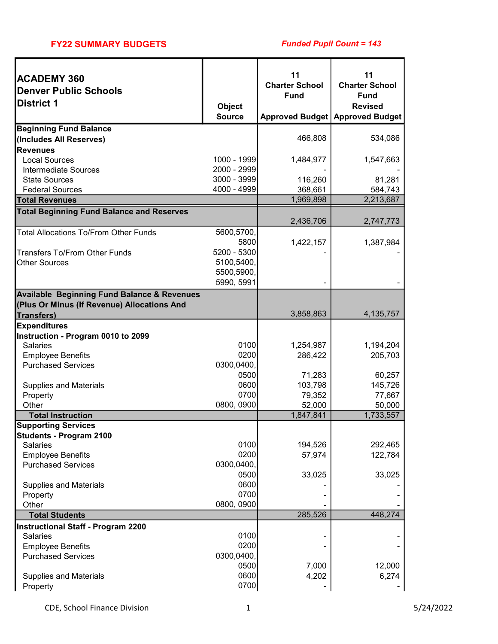#### FY22 SUMMARY BUDGETS

| <b>ACADEMY 360</b><br><b>Denver Public Schools</b><br><b>District 1</b> | Object<br><b>Source</b>  | 11<br><b>Charter School</b><br><b>Fund</b> | 11<br><b>Charter School</b><br><b>Fund</b><br><b>Revised</b><br>Approved Budget   Approved Budget |
|-------------------------------------------------------------------------|--------------------------|--------------------------------------------|---------------------------------------------------------------------------------------------------|
| <b>Beginning Fund Balance</b>                                           |                          |                                            |                                                                                                   |
| (Includes All Reserves)                                                 |                          | 466,808                                    | 534,086                                                                                           |
| <b>Revenues</b><br><b>Local Sources</b>                                 | 1000 - 1999              | 1,484,977                                  | 1,547,663                                                                                         |
| <b>Intermediate Sources</b>                                             | 2000 - 2999              |                                            |                                                                                                   |
| <b>State Sources</b>                                                    | 3000 - 3999              | 116,260                                    | 81,281                                                                                            |
| <b>Federal Sources</b>                                                  | 4000 - 4999              | 368,661                                    | 584,743                                                                                           |
| <b>Total Revenues</b>                                                   |                          | 1,969,898                                  | 2,213,687                                                                                         |
| <b>Total Beginning Fund Balance and Reserves</b>                        |                          |                                            |                                                                                                   |
|                                                                         |                          | 2,436,706                                  | 2,747,773                                                                                         |
| <b>Total Allocations To/From Other Funds</b>                            | 5600,5700,               |                                            |                                                                                                   |
|                                                                         | 5800                     | 1,422,157                                  | 1,387,984                                                                                         |
| <b>Transfers To/From Other Funds</b>                                    | 5200 - 5300              |                                            |                                                                                                   |
| <b>Other Sources</b>                                                    | 5100,5400,<br>5500,5900, |                                            |                                                                                                   |
|                                                                         | 5990, 5991               |                                            |                                                                                                   |
| <b>Available Beginning Fund Balance &amp; Revenues</b>                  |                          |                                            |                                                                                                   |
| (Plus Or Minus (If Revenue) Allocations And                             |                          |                                            |                                                                                                   |
| Transfers)                                                              |                          | 3,858,863                                  | 4, 135, 757                                                                                       |
| <b>Expenditures</b>                                                     |                          |                                            |                                                                                                   |
| Instruction - Program 0010 to 2099                                      |                          |                                            |                                                                                                   |
| <b>Salaries</b>                                                         | 0100                     | 1,254,987                                  | 1,194,204                                                                                         |
| <b>Employee Benefits</b>                                                | 0200                     | 286,422                                    | 205,703                                                                                           |
| <b>Purchased Services</b>                                               | 0300,0400,               |                                            |                                                                                                   |
|                                                                         | 0500                     | 71,283                                     | 60,257                                                                                            |
| <b>Supplies and Materials</b>                                           | 0600<br>0700             | 103,798                                    | 145,726<br>77,667                                                                                 |
| Property<br>Other                                                       | 0800, 0900               | 79,352<br>52,000                           | 50,000                                                                                            |
| <b>Total Instruction</b>                                                |                          | 1,847,841                                  | 1,733,557                                                                                         |
| <b>Supporting Services</b>                                              |                          |                                            |                                                                                                   |
| <b>Students - Program 2100</b>                                          |                          |                                            |                                                                                                   |
| <b>Salaries</b>                                                         | 0100                     | 194,526                                    | 292,465                                                                                           |
| <b>Employee Benefits</b>                                                | 0200                     | 57,974                                     | 122,784                                                                                           |
| <b>Purchased Services</b>                                               | 0300,0400,               |                                            |                                                                                                   |
|                                                                         | 0500<br>0600             | 33,025                                     | 33,025                                                                                            |
| <b>Supplies and Materials</b><br>Property                               | 0700                     |                                            |                                                                                                   |
| Other                                                                   | 0800, 0900               |                                            |                                                                                                   |
| <b>Total Students</b>                                                   |                          | 285,526                                    | 448,274                                                                                           |
| <b>Instructional Staff - Program 2200</b>                               |                          |                                            |                                                                                                   |
| <b>Salaries</b>                                                         | 0100                     |                                            |                                                                                                   |
| <b>Employee Benefits</b>                                                | 0200                     |                                            |                                                                                                   |
| <b>Purchased Services</b>                                               | 0300,0400,               |                                            |                                                                                                   |
|                                                                         | 0500                     | 7,000                                      | 12,000                                                                                            |
| <b>Supplies and Materials</b>                                           | 0600                     | 4,202                                      | 6,274                                                                                             |
| Property                                                                | 0700                     |                                            |                                                                                                   |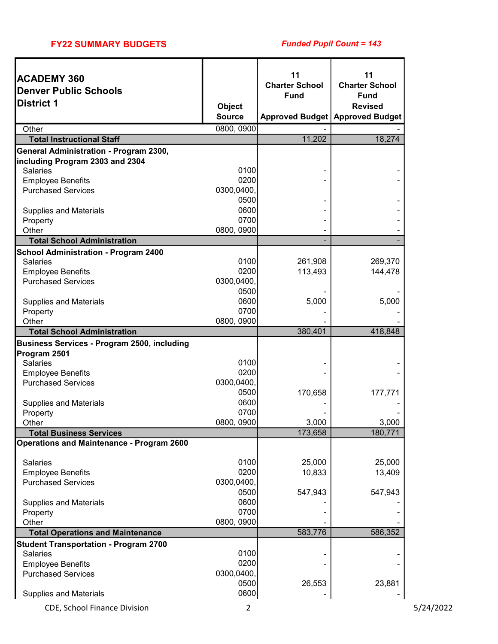| <b>ACADEMY 360</b>                               |                    | 11                    | 11                                |
|--------------------------------------------------|--------------------|-----------------------|-----------------------------------|
| <b>Denver Public Schools</b>                     |                    | <b>Charter School</b> | <b>Charter School</b>             |
| <b>District 1</b>                                | Object             | <b>Fund</b>           | <b>Fund</b><br><b>Revised</b>     |
|                                                  | <b>Source</b>      |                       | Approved Budget   Approved Budget |
| Other                                            | 0800, 0900         |                       |                                   |
| <b>Total Instructional Staff</b>                 |                    | 11,202                | 18,274                            |
| General Administration - Program 2300,           |                    |                       |                                   |
| including Program 2303 and 2304                  |                    |                       |                                   |
| <b>Salaries</b>                                  | 0100               |                       |                                   |
| <b>Employee Benefits</b>                         | 0200               |                       |                                   |
| <b>Purchased Services</b>                        | 0300,0400,<br>0500 |                       |                                   |
| <b>Supplies and Materials</b>                    | 0600               |                       |                                   |
| Property                                         | 0700               |                       |                                   |
| Other                                            | 0800, 0900         |                       |                                   |
| <b>Total School Administration</b>               |                    |                       |                                   |
| <b>School Administration - Program 2400</b>      |                    |                       |                                   |
| <b>Salaries</b>                                  | 0100               | 261,908               | 269,370                           |
| <b>Employee Benefits</b>                         | 0200               | 113,493               | 144,478                           |
| <b>Purchased Services</b>                        | 0300,0400,         |                       |                                   |
|                                                  | 0500               |                       |                                   |
| <b>Supplies and Materials</b>                    | 0600               | 5,000                 | 5,000                             |
| Property<br>Other                                | 0700<br>0800, 0900 |                       |                                   |
| <b>Total School Administration</b>               |                    | 380,401               | 418,848                           |
| Business Services - Program 2500, including      |                    |                       |                                   |
| Program 2501                                     |                    |                       |                                   |
| <b>Salaries</b>                                  | 0100               |                       |                                   |
| <b>Employee Benefits</b>                         | 0200               |                       |                                   |
| <b>Purchased Services</b>                        | 0300,0400,         |                       |                                   |
|                                                  | 0500               | 170,658               | 177,771                           |
| <b>Supplies and Materials</b>                    | 0600               |                       |                                   |
| Property                                         | 0700               |                       |                                   |
| Other<br><b>Total Business Services</b>          | 0800, 0900         | 3,000<br>173,658      | 3,000<br>180,771                  |
| <b>Operations and Maintenance - Program 2600</b> |                    |                       |                                   |
|                                                  |                    |                       |                                   |
| Salaries                                         | 0100               | 25,000                | 25,000                            |
| <b>Employee Benefits</b>                         | 0200               | 10,833                | 13,409                            |
| <b>Purchased Services</b>                        | 0300,0400,         |                       |                                   |
|                                                  | 0500               | 547,943               | 547,943                           |
| <b>Supplies and Materials</b>                    | 0600<br>0700       |                       |                                   |
| Property<br>Other                                | 0800, 0900         |                       |                                   |
| <b>Total Operations and Maintenance</b>          |                    | 583,776               | 586,352                           |
| <b>Student Transportation - Program 2700</b>     |                    |                       |                                   |
| Salaries                                         | 0100               |                       |                                   |
| <b>Employee Benefits</b>                         | 0200               |                       |                                   |
| <b>Purchased Services</b>                        | 0300,0400,         |                       |                                   |
|                                                  | 0500               | 26,553                | 23,881                            |
| <b>Supplies and Materials</b>                    | 0600               |                       |                                   |

CDE, School Finance Division 2 5/24/2022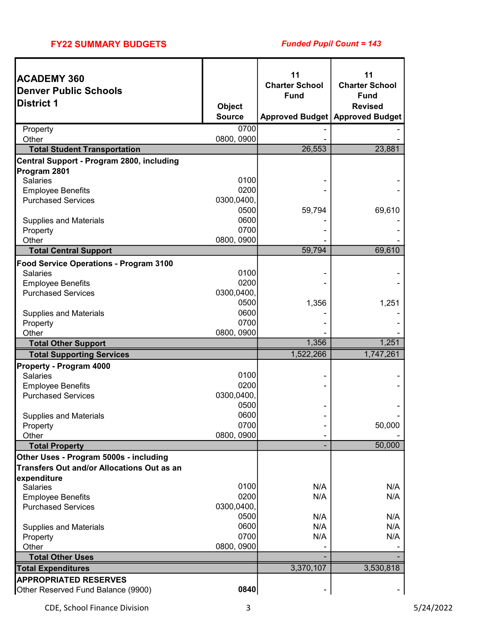# FY22 SUMMARY BUDGETS

# Funded Pupil Count = 143

| <b>Charter School</b><br><b>Charter School</b><br><b>Denver Public Schools</b><br><b>Fund</b><br><b>Fund</b><br><b>District 1</b><br><b>Object</b><br><b>Revised</b><br><b>Source</b><br><b>Approved Budget   Approved Budget</b><br>0700<br>Property<br>0800, 0900<br>Other<br>26,553<br>23,881<br><b>Total Student Transportation</b><br>Central Support - Program 2800, including<br>Program 2801<br>0100<br><b>Salaries</b><br>0200<br><b>Employee Benefits</b><br><b>Purchased Services</b><br>0300,0400,<br>0500<br>59,794<br>69,610<br>0600<br><b>Supplies and Materials</b><br>0700<br>Property<br>0800, 0900<br>Other<br>59,794<br>69,610<br><b>Total Central Support</b><br>Food Service Operations - Program 3100<br>0100<br><b>Salaries</b><br>0200<br><b>Employee Benefits</b><br><b>Purchased Services</b><br>0300,0400,<br>0500<br>1,356<br>1,251<br>0600<br><b>Supplies and Materials</b><br>0700<br>Property<br>0800, 0900<br>Other<br>1,356<br>1,251<br><b>Total Other Support</b><br>1,522,266<br>1,747,261<br><b>Total Supporting Services</b><br><b>Property - Program 4000</b><br>0100<br><b>Salaries</b><br>0200<br><b>Employee Benefits</b><br><b>Purchased Services</b><br>0300,0400,<br>0500<br>0600<br><b>Supplies and Materials</b><br>Property<br>0700<br>50,000<br>0800, 0900<br>Other<br>50,000<br><b>Total Property</b><br>Other Uses - Program 5000s - including<br>Transfers Out and/or Allocations Out as an<br>expenditure<br>0100<br>N/A<br>N/A<br>Salaries<br>0200<br>N/A<br>N/A<br><b>Employee Benefits</b><br>0300,0400,<br><b>Purchased Services</b><br>0500<br>N/A<br>N/A<br>0600<br>N/A<br>N/A<br><b>Supplies and Materials</b><br>0700<br>N/A<br>N/A<br>Property<br>0800, 0900<br>Other<br><b>Total Other Uses</b><br>3,370,107<br>3,530,818<br><b>Total Expenditures</b><br><b>APPROPRIATED RESERVES</b> | <b>ACADEMY 360</b> | 11 | 11 |
|-------------------------------------------------------------------------------------------------------------------------------------------------------------------------------------------------------------------------------------------------------------------------------------------------------------------------------------------------------------------------------------------------------------------------------------------------------------------------------------------------------------------------------------------------------------------------------------------------------------------------------------------------------------------------------------------------------------------------------------------------------------------------------------------------------------------------------------------------------------------------------------------------------------------------------------------------------------------------------------------------------------------------------------------------------------------------------------------------------------------------------------------------------------------------------------------------------------------------------------------------------------------------------------------------------------------------------------------------------------------------------------------------------------------------------------------------------------------------------------------------------------------------------------------------------------------------------------------------------------------------------------------------------------------------------------------------------------------------------------------------------------------------------------------------------------------------------------------------------|--------------------|----|----|
|                                                                                                                                                                                                                                                                                                                                                                                                                                                                                                                                                                                                                                                                                                                                                                                                                                                                                                                                                                                                                                                                                                                                                                                                                                                                                                                                                                                                                                                                                                                                                                                                                                                                                                                                                                                                                                                       |                    |    |    |
|                                                                                                                                                                                                                                                                                                                                                                                                                                                                                                                                                                                                                                                                                                                                                                                                                                                                                                                                                                                                                                                                                                                                                                                                                                                                                                                                                                                                                                                                                                                                                                                                                                                                                                                                                                                                                                                       |                    |    |    |
|                                                                                                                                                                                                                                                                                                                                                                                                                                                                                                                                                                                                                                                                                                                                                                                                                                                                                                                                                                                                                                                                                                                                                                                                                                                                                                                                                                                                                                                                                                                                                                                                                                                                                                                                                                                                                                                       |                    |    |    |
|                                                                                                                                                                                                                                                                                                                                                                                                                                                                                                                                                                                                                                                                                                                                                                                                                                                                                                                                                                                                                                                                                                                                                                                                                                                                                                                                                                                                                                                                                                                                                                                                                                                                                                                                                                                                                                                       |                    |    |    |
|                                                                                                                                                                                                                                                                                                                                                                                                                                                                                                                                                                                                                                                                                                                                                                                                                                                                                                                                                                                                                                                                                                                                                                                                                                                                                                                                                                                                                                                                                                                                                                                                                                                                                                                                                                                                                                                       |                    |    |    |
|                                                                                                                                                                                                                                                                                                                                                                                                                                                                                                                                                                                                                                                                                                                                                                                                                                                                                                                                                                                                                                                                                                                                                                                                                                                                                                                                                                                                                                                                                                                                                                                                                                                                                                                                                                                                                                                       |                    |    |    |
|                                                                                                                                                                                                                                                                                                                                                                                                                                                                                                                                                                                                                                                                                                                                                                                                                                                                                                                                                                                                                                                                                                                                                                                                                                                                                                                                                                                                                                                                                                                                                                                                                                                                                                                                                                                                                                                       |                    |    |    |
|                                                                                                                                                                                                                                                                                                                                                                                                                                                                                                                                                                                                                                                                                                                                                                                                                                                                                                                                                                                                                                                                                                                                                                                                                                                                                                                                                                                                                                                                                                                                                                                                                                                                                                                                                                                                                                                       |                    |    |    |
|                                                                                                                                                                                                                                                                                                                                                                                                                                                                                                                                                                                                                                                                                                                                                                                                                                                                                                                                                                                                                                                                                                                                                                                                                                                                                                                                                                                                                                                                                                                                                                                                                                                                                                                                                                                                                                                       |                    |    |    |
|                                                                                                                                                                                                                                                                                                                                                                                                                                                                                                                                                                                                                                                                                                                                                                                                                                                                                                                                                                                                                                                                                                                                                                                                                                                                                                                                                                                                                                                                                                                                                                                                                                                                                                                                                                                                                                                       |                    |    |    |
|                                                                                                                                                                                                                                                                                                                                                                                                                                                                                                                                                                                                                                                                                                                                                                                                                                                                                                                                                                                                                                                                                                                                                                                                                                                                                                                                                                                                                                                                                                                                                                                                                                                                                                                                                                                                                                                       |                    |    |    |
|                                                                                                                                                                                                                                                                                                                                                                                                                                                                                                                                                                                                                                                                                                                                                                                                                                                                                                                                                                                                                                                                                                                                                                                                                                                                                                                                                                                                                                                                                                                                                                                                                                                                                                                                                                                                                                                       |                    |    |    |
|                                                                                                                                                                                                                                                                                                                                                                                                                                                                                                                                                                                                                                                                                                                                                                                                                                                                                                                                                                                                                                                                                                                                                                                                                                                                                                                                                                                                                                                                                                                                                                                                                                                                                                                                                                                                                                                       |                    |    |    |
|                                                                                                                                                                                                                                                                                                                                                                                                                                                                                                                                                                                                                                                                                                                                                                                                                                                                                                                                                                                                                                                                                                                                                                                                                                                                                                                                                                                                                                                                                                                                                                                                                                                                                                                                                                                                                                                       |                    |    |    |
|                                                                                                                                                                                                                                                                                                                                                                                                                                                                                                                                                                                                                                                                                                                                                                                                                                                                                                                                                                                                                                                                                                                                                                                                                                                                                                                                                                                                                                                                                                                                                                                                                                                                                                                                                                                                                                                       |                    |    |    |
|                                                                                                                                                                                                                                                                                                                                                                                                                                                                                                                                                                                                                                                                                                                                                                                                                                                                                                                                                                                                                                                                                                                                                                                                                                                                                                                                                                                                                                                                                                                                                                                                                                                                                                                                                                                                                                                       |                    |    |    |
|                                                                                                                                                                                                                                                                                                                                                                                                                                                                                                                                                                                                                                                                                                                                                                                                                                                                                                                                                                                                                                                                                                                                                                                                                                                                                                                                                                                                                                                                                                                                                                                                                                                                                                                                                                                                                                                       |                    |    |    |
|                                                                                                                                                                                                                                                                                                                                                                                                                                                                                                                                                                                                                                                                                                                                                                                                                                                                                                                                                                                                                                                                                                                                                                                                                                                                                                                                                                                                                                                                                                                                                                                                                                                                                                                                                                                                                                                       |                    |    |    |
|                                                                                                                                                                                                                                                                                                                                                                                                                                                                                                                                                                                                                                                                                                                                                                                                                                                                                                                                                                                                                                                                                                                                                                                                                                                                                                                                                                                                                                                                                                                                                                                                                                                                                                                                                                                                                                                       |                    |    |    |
|                                                                                                                                                                                                                                                                                                                                                                                                                                                                                                                                                                                                                                                                                                                                                                                                                                                                                                                                                                                                                                                                                                                                                                                                                                                                                                                                                                                                                                                                                                                                                                                                                                                                                                                                                                                                                                                       |                    |    |    |
|                                                                                                                                                                                                                                                                                                                                                                                                                                                                                                                                                                                                                                                                                                                                                                                                                                                                                                                                                                                                                                                                                                                                                                                                                                                                                                                                                                                                                                                                                                                                                                                                                                                                                                                                                                                                                                                       |                    |    |    |
|                                                                                                                                                                                                                                                                                                                                                                                                                                                                                                                                                                                                                                                                                                                                                                                                                                                                                                                                                                                                                                                                                                                                                                                                                                                                                                                                                                                                                                                                                                                                                                                                                                                                                                                                                                                                                                                       |                    |    |    |
|                                                                                                                                                                                                                                                                                                                                                                                                                                                                                                                                                                                                                                                                                                                                                                                                                                                                                                                                                                                                                                                                                                                                                                                                                                                                                                                                                                                                                                                                                                                                                                                                                                                                                                                                                                                                                                                       |                    |    |    |
|                                                                                                                                                                                                                                                                                                                                                                                                                                                                                                                                                                                                                                                                                                                                                                                                                                                                                                                                                                                                                                                                                                                                                                                                                                                                                                                                                                                                                                                                                                                                                                                                                                                                                                                                                                                                                                                       |                    |    |    |
|                                                                                                                                                                                                                                                                                                                                                                                                                                                                                                                                                                                                                                                                                                                                                                                                                                                                                                                                                                                                                                                                                                                                                                                                                                                                                                                                                                                                                                                                                                                                                                                                                                                                                                                                                                                                                                                       |                    |    |    |
|                                                                                                                                                                                                                                                                                                                                                                                                                                                                                                                                                                                                                                                                                                                                                                                                                                                                                                                                                                                                                                                                                                                                                                                                                                                                                                                                                                                                                                                                                                                                                                                                                                                                                                                                                                                                                                                       |                    |    |    |
|                                                                                                                                                                                                                                                                                                                                                                                                                                                                                                                                                                                                                                                                                                                                                                                                                                                                                                                                                                                                                                                                                                                                                                                                                                                                                                                                                                                                                                                                                                                                                                                                                                                                                                                                                                                                                                                       |                    |    |    |
|                                                                                                                                                                                                                                                                                                                                                                                                                                                                                                                                                                                                                                                                                                                                                                                                                                                                                                                                                                                                                                                                                                                                                                                                                                                                                                                                                                                                                                                                                                                                                                                                                                                                                                                                                                                                                                                       |                    |    |    |
|                                                                                                                                                                                                                                                                                                                                                                                                                                                                                                                                                                                                                                                                                                                                                                                                                                                                                                                                                                                                                                                                                                                                                                                                                                                                                                                                                                                                                                                                                                                                                                                                                                                                                                                                                                                                                                                       |                    |    |    |
|                                                                                                                                                                                                                                                                                                                                                                                                                                                                                                                                                                                                                                                                                                                                                                                                                                                                                                                                                                                                                                                                                                                                                                                                                                                                                                                                                                                                                                                                                                                                                                                                                                                                                                                                                                                                                                                       |                    |    |    |
|                                                                                                                                                                                                                                                                                                                                                                                                                                                                                                                                                                                                                                                                                                                                                                                                                                                                                                                                                                                                                                                                                                                                                                                                                                                                                                                                                                                                                                                                                                                                                                                                                                                                                                                                                                                                                                                       |                    |    |    |
|                                                                                                                                                                                                                                                                                                                                                                                                                                                                                                                                                                                                                                                                                                                                                                                                                                                                                                                                                                                                                                                                                                                                                                                                                                                                                                                                                                                                                                                                                                                                                                                                                                                                                                                                                                                                                                                       |                    |    |    |
|                                                                                                                                                                                                                                                                                                                                                                                                                                                                                                                                                                                                                                                                                                                                                                                                                                                                                                                                                                                                                                                                                                                                                                                                                                                                                                                                                                                                                                                                                                                                                                                                                                                                                                                                                                                                                                                       |                    |    |    |
|                                                                                                                                                                                                                                                                                                                                                                                                                                                                                                                                                                                                                                                                                                                                                                                                                                                                                                                                                                                                                                                                                                                                                                                                                                                                                                                                                                                                                                                                                                                                                                                                                                                                                                                                                                                                                                                       |                    |    |    |
|                                                                                                                                                                                                                                                                                                                                                                                                                                                                                                                                                                                                                                                                                                                                                                                                                                                                                                                                                                                                                                                                                                                                                                                                                                                                                                                                                                                                                                                                                                                                                                                                                                                                                                                                                                                                                                                       |                    |    |    |
|                                                                                                                                                                                                                                                                                                                                                                                                                                                                                                                                                                                                                                                                                                                                                                                                                                                                                                                                                                                                                                                                                                                                                                                                                                                                                                                                                                                                                                                                                                                                                                                                                                                                                                                                                                                                                                                       |                    |    |    |
|                                                                                                                                                                                                                                                                                                                                                                                                                                                                                                                                                                                                                                                                                                                                                                                                                                                                                                                                                                                                                                                                                                                                                                                                                                                                                                                                                                                                                                                                                                                                                                                                                                                                                                                                                                                                                                                       |                    |    |    |
|                                                                                                                                                                                                                                                                                                                                                                                                                                                                                                                                                                                                                                                                                                                                                                                                                                                                                                                                                                                                                                                                                                                                                                                                                                                                                                                                                                                                                                                                                                                                                                                                                                                                                                                                                                                                                                                       |                    |    |    |
|                                                                                                                                                                                                                                                                                                                                                                                                                                                                                                                                                                                                                                                                                                                                                                                                                                                                                                                                                                                                                                                                                                                                                                                                                                                                                                                                                                                                                                                                                                                                                                                                                                                                                                                                                                                                                                                       |                    |    |    |
|                                                                                                                                                                                                                                                                                                                                                                                                                                                                                                                                                                                                                                                                                                                                                                                                                                                                                                                                                                                                                                                                                                                                                                                                                                                                                                                                                                                                                                                                                                                                                                                                                                                                                                                                                                                                                                                       |                    |    |    |
|                                                                                                                                                                                                                                                                                                                                                                                                                                                                                                                                                                                                                                                                                                                                                                                                                                                                                                                                                                                                                                                                                                                                                                                                                                                                                                                                                                                                                                                                                                                                                                                                                                                                                                                                                                                                                                                       |                    |    |    |
|                                                                                                                                                                                                                                                                                                                                                                                                                                                                                                                                                                                                                                                                                                                                                                                                                                                                                                                                                                                                                                                                                                                                                                                                                                                                                                                                                                                                                                                                                                                                                                                                                                                                                                                                                                                                                                                       |                    |    |    |
|                                                                                                                                                                                                                                                                                                                                                                                                                                                                                                                                                                                                                                                                                                                                                                                                                                                                                                                                                                                                                                                                                                                                                                                                                                                                                                                                                                                                                                                                                                                                                                                                                                                                                                                                                                                                                                                       |                    |    |    |
|                                                                                                                                                                                                                                                                                                                                                                                                                                                                                                                                                                                                                                                                                                                                                                                                                                                                                                                                                                                                                                                                                                                                                                                                                                                                                                                                                                                                                                                                                                                                                                                                                                                                                                                                                                                                                                                       |                    |    |    |
| 0840<br>Other Reserved Fund Balance (9900)                                                                                                                                                                                                                                                                                                                                                                                                                                                                                                                                                                                                                                                                                                                                                                                                                                                                                                                                                                                                                                                                                                                                                                                                                                                                                                                                                                                                                                                                                                                                                                                                                                                                                                                                                                                                            |                    |    |    |